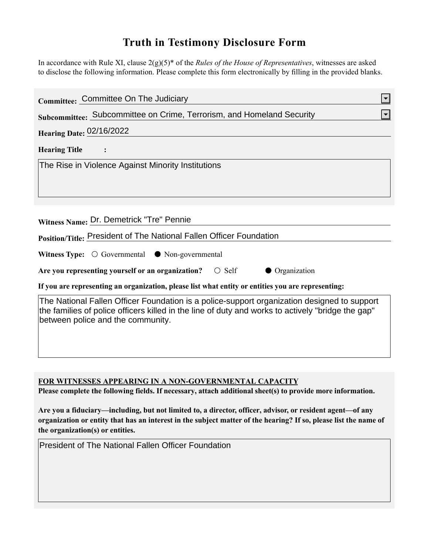## **Truth in Testimony Disclosure Form**

In accordance with Rule XI, clause 2(g)(5)\* of the *Rules of the House of Representatives*, witnesses are asked to disclose the following information. Please complete this form electronically by filling in the provided blanks.

| Committee: Committee On The Judiciary                                                                                                                                                                                                 |
|---------------------------------------------------------------------------------------------------------------------------------------------------------------------------------------------------------------------------------------|
| Subcommittee: Subcommittee on Crime, Terrorism, and Homeland Security                                                                                                                                                                 |
| <b>Hearing Date: 02/16/2022</b>                                                                                                                                                                                                       |
| <b>Hearing Title</b><br>$\ddot{\cdot}$                                                                                                                                                                                                |
| The Rise in Violence Against Minority Institutions                                                                                                                                                                                    |
| Witness Name: Dr. Demetrick "Tre" Pennie                                                                                                                                                                                              |
| Position/Title: President of The National Fallen Officer Foundation                                                                                                                                                                   |
| Witness Type: $\bigcirc$ Governmental $\bullet$ Non-governmental                                                                                                                                                                      |
| Are you representing yourself or an organization? $\bigcirc$ Self<br><b>Organization</b>                                                                                                                                              |
| If you are representing an organization, please list what entity or entities you are representing:                                                                                                                                    |
| The National Fallen Officer Foundation is a police-support organization designed to support<br>the families of police officers killed in the line of duty and works to actively "bridge the gap"<br>between police and the community. |

**FOR WITNESSES APPEARING IN A NON-GOVERNMENTAL CAPACITY**

**Please complete the following fields. If necessary, attach additional sheet(s) to provide more information.**

**Are you a fiduciary—including, but not limited to, a director, officer, advisor, or resident agent—of any organization or entity that has an interest in the subject matter of the hearing? If so, please list the name of the organization(s) or entities.**

President of The National Fallen Officer Foundation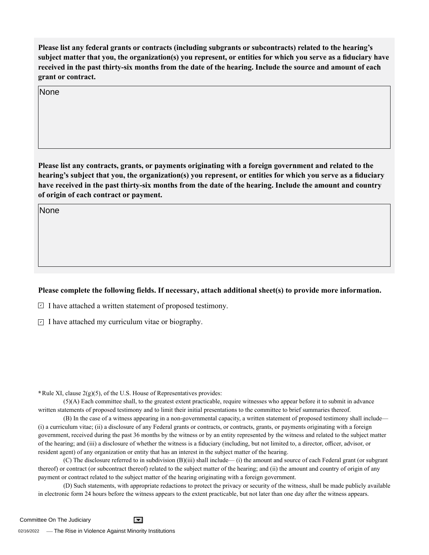**Please list any federal grants or contracts (including subgrants or subcontracts) related to the hearing's subject matter that you, the organization(s) you represent, or entities for which you serve as a fiduciary have received in the past thirty-six months from the date of the hearing. Include the source and amount of each grant or contract.** 

**None** 

**Please list any contracts, grants, or payments originating with a foreign government and related to the hearing's subject that you, the organization(s) you represent, or entities for which you serve as a fiduciary have received in the past thirty-six months from the date of the hearing. Include the amount and country of origin of each contract or payment.**  None<br>Please |<br>hearing<br>have re<br>of origi<br>None

None

## **Please complete the following fields. If necessary, attach additional sheet(s) to provide more information.**

 $\exists$  I have attached a written statement of proposed testimony.

 $\subseteq$  I have attached my curriculum vitae or biography.

**\***Rule XI, clause 2(g)(5), of the U.S. House of Representatives provides:

(5)(A) Each committee shall, to the greatest extent practicable, require witnesses who appear before it to submit in advance written statements of proposed testimony and to limit their initial presentations to the committee to brief summaries thereof.

(B) In the case of a witness appearing in a non-governmental capacity, a written statement of proposed testimony shall include— (i) a curriculum vitae; (ii) a disclosure of any Federal grants or contracts, or contracts, grants, or payments originating with a foreign government, received during the past 36 months by the witness or by an entity represented by the witness and related to the subject matter of the hearing; and (iii) a disclosure of whether the witness is a fiduciary (including, but not limited to, a director, officer, advisor, or resident agent) of any organization or entity that has an interest in the subject matter of the hearing.

(C) The disclosure referred to in subdivision (B)(iii) shall include— (i) the amount and source of each Federal grant (or subgrant thereof) or contract (or subcontract thereof) related to the subject matter of the hearing; and (ii) the amount and country of origin of any payment or contract related to the subject matter of the hearing originating with a foreign government.

(D) Such statements, with appropriate redactions to protect the privacy or security of the witness, shall be made publicly available in electronic form 24 hours before the witness appears to the extent practicable, but not later than one day after the witness appears.